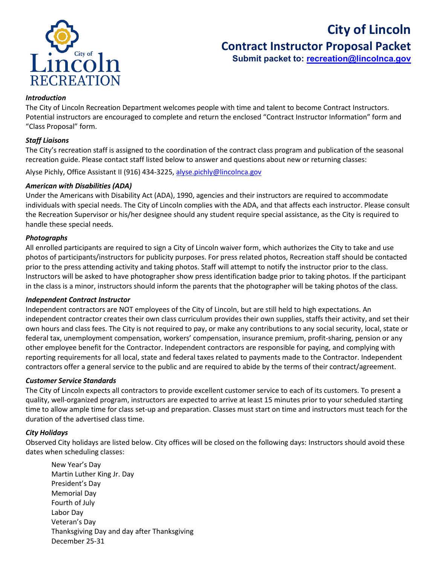

# **City of Lincoln Contract Instructor Proposal Packet**

 **Submit packet to: [recreation@lincolnca.gov](mailto:recreation@lincolnca.gov)**

## *Introduction*

The City of Lincoln Recreation Department welcomes people with time and talent to become Contract Instructors. Potential instructors are encouraged to complete and return the enclosed "Contract Instructor Information" form and "Class Proposal" form.

## *Staff Liaisons*

The City's recreation staff is assigned to the coordination of the contract class program and publication of the seasonal recreation guide. Please contact staff listed below to answer and questions about new or returning classes:

Alyse Pichly, Office Assistant II (916) 434-3225, [alyse.pichly@lincolnca.gov](mailto:alyse.pichly@lincolnca.gov)

#### *American with Disabilities (ADA)*

Under the Americans with Disability Act (ADA), 1990, agencies and their instructors are required to accommodate individuals with special needs. The City of Lincoln complies with the ADA, and that affects each instructor. Please consult the Recreation Supervisor or his/her designee should any student require special assistance, as the City is required to handle these special needs.

#### *Photographs*

All enrolled participants are required to sign a City of Lincoln waiver form, which authorizes the City to take and use photos of participants/instructors for publicity purposes. For press related photos, Recreation staff should be contacted prior to the press attending activity and taking photos. Staff will attempt to notify the instructor prior to the class. Instructors will be asked to have photographer show press identification badge prior to taking photos. If the participant in the class is a minor, instructors should inform the parents that the photographer will be taking photos of the class.

#### *Independent Contract Instructor*

Independent contractors are NOT employees of the City of Lincoln, but are still held to high expectations. An independent contractor creates their own class curriculum provides their own supplies, staffs their activity, and set their own hours and class fees. The City is not required to pay, or make any contributions to any social security, local, state or federal tax, unemployment compensation, workers' compensation, insurance premium, profit-sharing, pension or any other employee benefit for the Contractor. Independent contractors are responsible for paying, and complying with reporting requirements for all local, state and federal taxes related to payments made to the Contractor. Independent contractors offer a general service to the public and are required to abide by the terms of their contract/agreement.

#### *Customer Service Standards*

The City of Lincoln expects all contractors to provide excellent customer service to each of its customers. To present a quality, well-organized program, instructors are expected to arrive at least 15 minutes prior to your scheduled starting time to allow ample time for class set-up and preparation. Classes must start on time and instructors must teach for the duration of the advertised class time.

#### *City Holidays*

Observed City holidays are listed below. City offices will be closed on the following days: Instructors should avoid these dates when scheduling classes:

New Year's Day Martin Luther King Jr. Day President's Day Memorial Day Fourth of July Labor Day Veteran's Day Thanksgiving Day and day after Thanksgiving December 25-31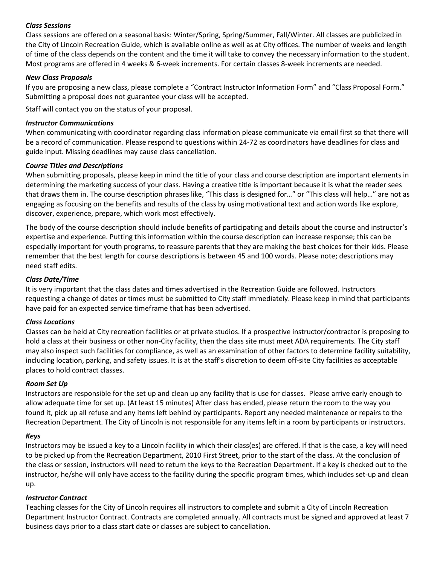## *Class Sessions*

Class sessions are offered on a seasonal basis: Winter/Spring, Spring/Summer, Fall/Winter. All classes are publicized in the City of Lincoln Recreation Guide, which is available online as well as at City offices. The number of weeks and length of time of the class depends on the content and the time it will take to convey the necessary information to the student. Most programs are offered in 4 weeks & 6-week increments. For certain classes 8-week increments are needed.

## *New Class Proposals*

If you are proposing a new class, please complete a "Contract Instructor Information Form" and "Class Proposal Form." Submitting a proposal does not guarantee your class will be accepted.

Staff will contact you on the status of your proposal.

#### *Instructor Communications*

When communicating with coordinator regarding class information please communicate via email first so that there will be a record of communication. Please respond to questions within 24-72 as coordinators have deadlines for class and guide input. Missing deadlines may cause class cancellation.

## *Course Titles and Descriptions*

When submitting proposals, please keep in mind the title of your class and course description are important elements in determining the marketing success of your class. Having a creative title is important because it is what the reader sees that draws them in. The course description phrases like, "This class is designed for…" or "This class will help…" are not as engaging as focusing on the benefits and results of the class by using motivational text and action words like explore, discover, experience, prepare, which work most effectively.

The body of the course description should include benefits of participating and details about the course and instructor's expertise and experience. Putting this information within the course description can increase response; this can be especially important for youth programs, to reassure parents that they are making the best choices for their kids. Please remember that the best length for course descriptions is between 45 and 100 words. Please note; descriptions may need staff edits.

## *Class Date/Time*

It is very important that the class dates and times advertised in the Recreation Guide are followed. Instructors requesting a change of dates or times must be submitted to City staff immediately. Please keep in mind that participants have paid for an expected service timeframe that has been advertised.

## *Class Locations*

Classes can be held at City recreation facilities or at private studios. If a prospective instructor/contractor is proposing to hold a class at their business or other non-City facility, then the class site must meet ADA requirements. The City staff may also inspect such facilities for compliance, as well as an examination of other factors to determine facility suitability, including location, parking, and safety issues. It is at the staff's discretion to deem off-site City facilities as acceptable places to hold contract classes.

#### *Room Set Up*

Instructors are responsible for the set up and clean up any facility that is use for classes. Please arrive early enough to allow adequate time for set up. (At least 15 minutes) After class has ended, please return the room to the way you found it, pick up all refuse and any items left behind by participants. Report any needed maintenance or repairs to the Recreation Department. The City of Lincoln is not responsible for any items left in a room by participants or instructors.

#### *Keys*

Instructors may be issued a key to a Lincoln facility in which their class(es) are offered. If that is the case, a key will need to be picked up from the Recreation Department, 2010 First Street, prior to the start of the class. At the conclusion of the class or session, instructors will need to return the keys to the Recreation Department. If a key is checked out to the instructor, he/she will only have access to the facility during the specific program times, which includes set-up and clean up.

#### *Instructor Contract*

Teaching classes for the City of Lincoln requires all instructors to complete and submit a City of Lincoln Recreation Department Instructor Contract. Contracts are completed annually. All contracts must be signed and approved at least 7 business days prior to a class start date or classes are subject to cancellation.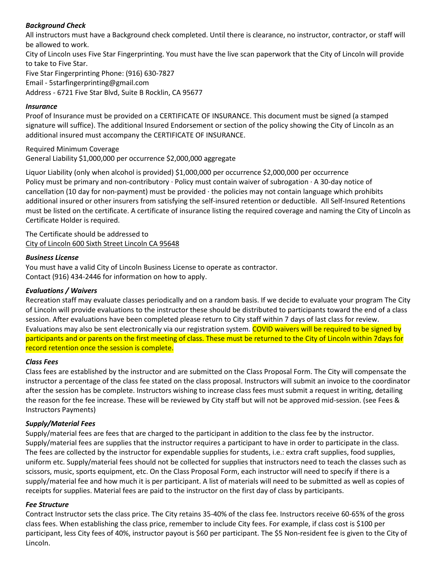## *Background Check*

All instructors must have a Background check completed. Until there is clearance, no instructor, contractor, or staff will be allowed to work.

City of Lincoln uses Five Star Fingerprinting. You must have the live scan paperwork that the City of Lincoln will provide to take to Five Star.

Five Star Fingerprinting Phone: (916) 630-7827 Email - 5starfingerprinting@gmail.com Address - 6721 Five Star Blvd, Suite B Rocklin, CA 95677

## *Insurance*

Proof of Insurance must be provided on a CERTIFICATE OF INSURANCE. This document must be signed (a stamped signature will suffice). The additional Insured Endorsement or section of the policy showing the City of Lincoln as an additional insured must accompany the CERTIFICATE OF INSURANCE.

Required Minimum Coverage General Liability \$1,000,000 per occurrence \$2,000,000 aggregate

Liquor Liability (only when alcohol is provided) \$1,000,000 per occurrence \$2,000,000 per occurrence Policy must be primary and non-contributory · Policy must contain waiver of subrogation  $\cdot$  A 30-day notice of cancellation (10 day for non-payment) must be provided · the policies may not contain language which prohibits additional insured or other insurers from satisfying the self-insured retention or deductible. All Self-Insured Retentions must be listed on the certificate. A certificate of insurance listing the required coverage and naming the City of Lincoln as Certificate Holder is required.

The Certificate should be addressed to City of Lincoln 600 Sixth Street Lincoln CA 95648

## *Business License*

You must have a valid City of Lincoln Business License to operate as contractor. Contact (916) 434-2446 for information on how to apply.

## *Evaluations / Waivers*

Recreation staff may evaluate classes periodically and on a random basis. If we decide to evaluate your program The City of Lincoln will provide evaluations to the instructor these should be distributed to participants toward the end of a class session. After evaluations have been completed please return to City staff within 7 days of last class for review. Evaluations may also be sent electronically via our registration system. COVID waivers will be required to be signed by participants and or parents on the first meeting of class. These must be returned to the City of Lincoln within 7days for record retention once the session is complete.

#### *Class Fees*

Class fees are established by the instructor and are submitted on the Class Proposal Form. The City will compensate the instructor a percentage of the class fee stated on the class proposal. Instructors will submit an invoice to the coordinator after the session has be complete. Instructors wishing to increase class fees must submit a request in writing, detailing the reason for the fee increase. These will be reviewed by City staff but will not be approved mid-session. (see Fees & Instructors Payments)

## *Supply/Material Fees*

Supply/material fees are fees that are charged to the participant in addition to the class fee by the instructor. Supply/material fees are supplies that the instructor requires a participant to have in order to participate in the class. The fees are collected by the instructor for expendable supplies for students, i.e.: extra craft supplies, food supplies, uniform etc. Supply/material fees should not be collected for supplies that instructors need to teach the classes such as scissors, music, sports equipment, etc. On the Class Proposal Form, each instructor will need to specify if there is a supply/material fee and how much it is per participant. A list of materials will need to be submitted as well as copies of receipts for supplies. Material fees are paid to the instructor on the first day of class by participants.

## *Fee Structure*

Contract Instructor sets the class price. The City retains 35-40% of the class fee. Instructors receive 60-65% of the gross class fees. When establishing the class price, remember to include City fees. For example, if class cost is \$100 per participant, less City fees of 40%, instructor payout is \$60 per participant. The \$5 Non-resident fee is given to the City of Lincoln.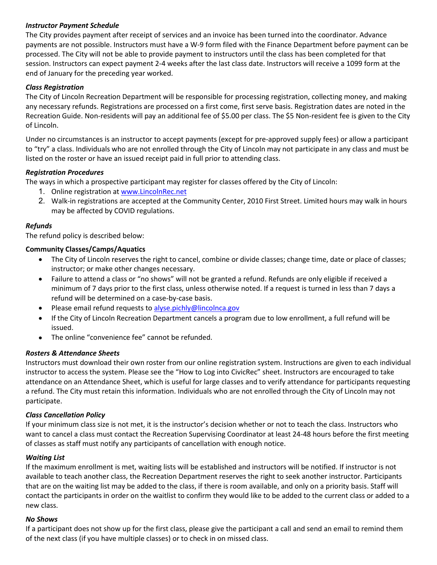## *Instructor Payment Schedule*

The City provides payment after receipt of services and an invoice has been turned into the coordinator. Advance payments are not possible. Instructors must have a W-9 form filed with the Finance Department before payment can be processed. The City will not be able to provide payment to instructors until the class has been completed for that session. Instructors can expect payment 2-4 weeks after the last class date. Instructors will receive a 1099 form at the end of January for the preceding year worked.

## *Class Registration*

The City of Lincoln Recreation Department will be responsible for processing registration, collecting money, and making any necessary refunds. Registrations are processed on a first come, first serve basis. Registration dates are noted in the Recreation Guide. Non-residents will pay an additional fee of \$5.00 per class. The \$5 Non-resident fee is given to the City of Lincoln.

Under no circumstances is an instructor to accept payments (except for pre-approved supply fees) or allow a participant to "try" a class. Individuals who are not enrolled through the City of Lincoln may not participate in any class and must be listed on the roster or have an issued receipt paid in full prior to attending class.

## *Registration Procedures*

The ways in which a prospective participant may register for classes offered by the City of Lincoln:

- 1. Online registration a[t www.LincolnRec.net](http://www.lincolnrec.net/)
- 2. Walk-in registrations are accepted at the Community Center, 2010 First Street. Limited hours may walk in hours may be affected by COVID regulations.

## *Refunds*

The refund policy is described below:

## **Community Classes/Camps/Aquatics**

- The City of Lincoln reserves the right to cancel, combine or divide classes; change time, date or place of classes; instructor; or make other changes necessary.
- Failure to attend a class or "no shows" will not be granted a refund. Refunds are only eligible if received a minimum of 7 days prior to the first class, unless otherwise noted. If a request is turned in less than 7 days a refund will be determined on a case-by-case basis.
- Please email refund requests to [alyse.pichly@lincolnca.gov](mailto:alyse.pichly@lincolnca.gov)
- If the City of Lincoln Recreation Department cancels a program due to low enrollment, a full refund will be issued.
- The online "convenience fee" cannot be refunded.

#### *Rosters & Attendance Sheets*

Instructors must download their own roster from our online registration system. Instructions are given to each individual instructor to access the system. Please see the "How to Log into CivicRec" sheet. Instructors are encouraged to take attendance on an Attendance Sheet, which is useful for large classes and to verify attendance for participants requesting a refund. The City must retain this information. Individuals who are not enrolled through the City of Lincoln may not participate.

#### *Class Cancellation Policy*

If your minimum class size is not met, it is the instructor's decision whether or not to teach the class. Instructors who want to cancel a class must contact the Recreation Supervising Coordinator at least 24-48 hours before the first meeting of classes as staff must notify any participants of cancellation with enough notice.

#### *Waiting List*

If the maximum enrollment is met, waiting lists will be established and instructors will be notified. If instructor is not available to teach another class, the Recreation Department reserves the right to seek another instructor. Participants that are on the waiting list may be added to the class, if there is room available, and only on a priority basis. Staff will contact the participants in order on the waitlist to confirm they would like to be added to the current class or added to a new class.

#### *No Shows*

If a participant does not show up for the first class, please give the participant a call and send an email to remind them of the next class (if you have multiple classes) or to check in on missed class.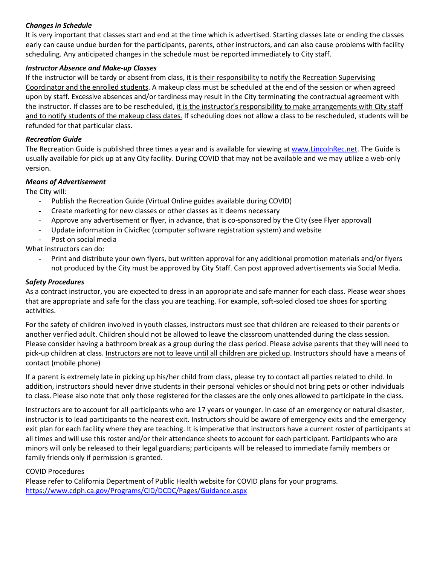## *Changes in Schedule*

It is very important that classes start and end at the time which is advertised. Starting classes late or ending the classes early can cause undue burden for the participants, parents, other instructors, and can also cause problems with facility scheduling. Any anticipated changes in the schedule must be reported immediately to City staff.

## *Instructor Absence and Make-up Classes*

If the instructor will be tardy or absent from class, it is their responsibility to notify the Recreation Supervising Coordinator and the enrolled students. A makeup class must be scheduled at the end of the session or when agreed upon by staff. Excessive absences and/or tardiness may result in the City terminating the contractual agreement with the instructor. If classes are to be rescheduled, it is the instructor's responsibility to make arrangements with City staff and to notify students of the makeup class dates. If scheduling does not allow a class to be rescheduled, students will be refunded for that particular class.

## *Recreation Guide*

The Recreation Guide is published three times a year and is available for viewing at [www.LincolnRec.net.](http://www.lincolnrec.net/) The Guide is usually available for pick up at any City facility. During COVID that may not be available and we may utilize a web-only version.

## *Means of Advertisement*

The City will:

- Publish the Recreation Guide (Virtual Online guides available during COVID)
- Create marketing for new classes or other classes as it deems necessary
- Approve any advertisement or flyer, in advance, that is co-sponsored by the City (see Flyer approval)
- Update information in CivicRec (computer software registration system) and website
- Post on social media

What instructors can do:

Print and distribute your own flyers, but written approval for any additional promotion materials and/or flyers not produced by the City must be approved by City Staff. Can post approved advertisements via Social Media.

## *Safety Procedures*

As a contract instructor, you are expected to dress in an appropriate and safe manner for each class. Please wear shoes that are appropriate and safe for the class you are teaching. For example, soft-soled closed toe shoes for sporting activities.

For the safety of children involved in youth classes, instructors must see that children are released to their parents or another verified adult. Children should not be allowed to leave the classroom unattended during the class session. Please consider having a bathroom break as a group during the class period. Please advise parents that they will need to pick-up children at class. Instructors are not to leave until all children are picked up. Instructors should have a means of contact (mobile phone)

If a parent is extremely late in picking up his/her child from class, please try to contact all parties related to child. In addition, instructors should never drive students in their personal vehicles or should not bring pets or other individuals to class. Please also note that only those registered for the classes are the only ones allowed to participate in the class.

Instructors are to account for all participants who are 17 years or younger. In case of an emergency or natural disaster, instructor is to lead participants to the nearest exit. Instructors should be aware of emergency exits and the emergency exit plan for each facility where they are teaching. It is imperative that instructors have a current roster of participants at all times and will use this roster and/or their attendance sheets to account for each participant. Participants who are minors will only be released to their legal guardians; participants will be released to immediate family members or family friends only if permission is granted.

#### COVID Procedures

Please refer to California Department of Public Health website for COVID plans for your programs. <https://www.cdph.ca.gov/Programs/CID/DCDC/Pages/Guidance.aspx>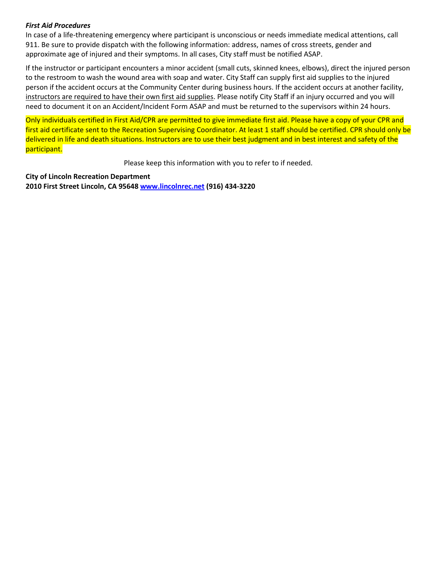## *First Aid Procedures*

In case of a life-threatening emergency where participant is unconscious or needs immediate medical attentions, call 911. Be sure to provide dispatch with the following information: address, names of cross streets, gender and approximate age of injured and their symptoms. In all cases, City staff must be notified ASAP.

If the instructor or participant encounters a minor accident (small cuts, skinned knees, elbows), direct the injured person to the restroom to wash the wound area with soap and water. City Staff can supply first aid supplies to the injured person if the accident occurs at the Community Center during business hours. If the accident occurs at another facility, instructors are required to have their own first aid supplies. Please notify City Staff if an injury occurred and you will need to document it on an Accident/Incident Form ASAP and must be returned to the supervisors within 24 hours.

Only individuals certified in First Aid/CPR are permitted to give immediate first aid. Please have a copy of your CPR and first aid certificate sent to the Recreation Supervising Coordinator. At least 1 staff should be certified. CPR should only be delivered in life and death situations. Instructors are to use their best judgment and in best interest and safety of the participant.

Please keep this information with you to refer to if needed.

**City of Lincoln Recreation Department 2010 First Street Lincoln, CA 95648 [www.lincolnrec.net](http://www.lincolnrec.net/) (916) 434-3220**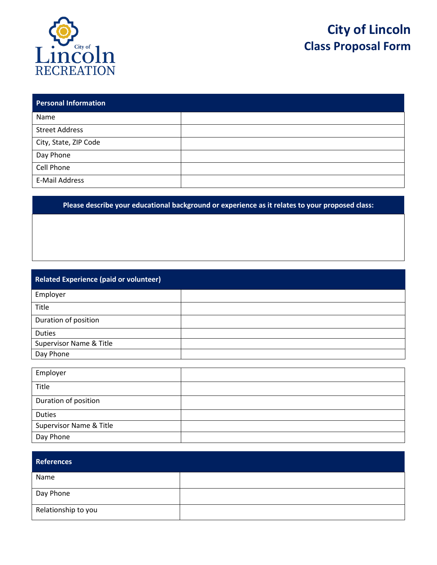

Day Phone

## **City of Lincoln Class Proposal Form**

| <b>Personal Information</b> |  |
|-----------------------------|--|
| Name                        |  |
| <b>Street Address</b>       |  |
| City, State, ZIP Code       |  |
| Day Phone                   |  |
| Cell Phone                  |  |
| E-Mail Address              |  |

**Please describe your educational background or experience as it relates to your proposed class:**

| <b>Related Experience (paid or volunteer)</b> |  |  |  |  |  |
|-----------------------------------------------|--|--|--|--|--|
| Employer                                      |  |  |  |  |  |
| Title                                         |  |  |  |  |  |
| Duration of position                          |  |  |  |  |  |
| <b>Duties</b>                                 |  |  |  |  |  |
| Supervisor Name & Title                       |  |  |  |  |  |
| Day Phone                                     |  |  |  |  |  |
|                                               |  |  |  |  |  |
| Employer                                      |  |  |  |  |  |
| Title                                         |  |  |  |  |  |
| Duration of position                          |  |  |  |  |  |
| <b>Duties</b>                                 |  |  |  |  |  |
| <b>Supervisor Name &amp; Title</b>            |  |  |  |  |  |

| <b>References</b>   |  |
|---------------------|--|
| Name                |  |
| Day Phone           |  |
| Relationship to you |  |